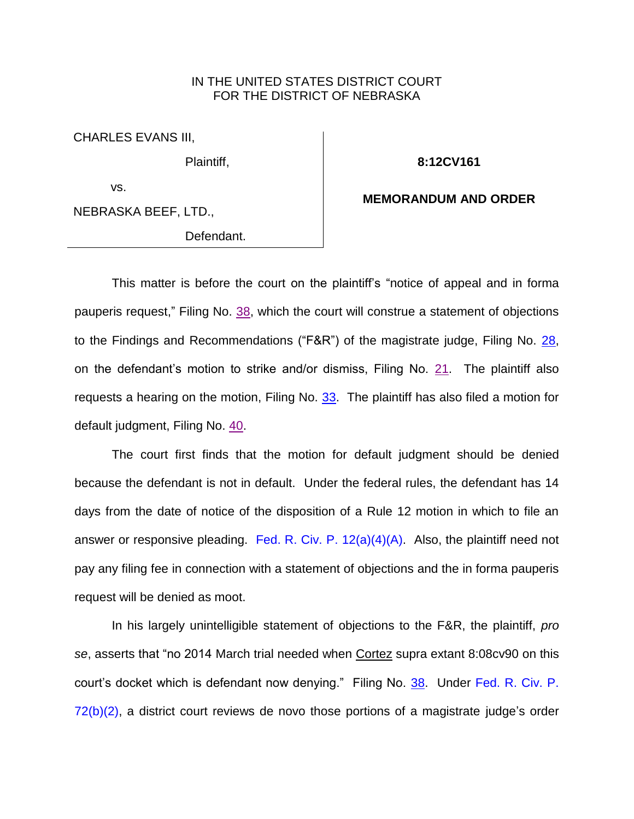## IN THE UNITED STATES DISTRICT COURT FOR THE DISTRICT OF NEBRASKA

CHARLES EVANS III,

Plaintiff,

**8:12CV161**

vs.

NEBRASKA BEEF, LTD.,

Defendant.

**MEMORANDUM AND ORDER**

This matter is before the court on the plaintiff's "notice of appeal and in forma pauperis request," Filing No. [38,](https://ecf.ned.uscourts.gov/doc1/11312848165) which the court will construe a statement of objections to the Findings and Recommendations ("F&R") of the magistrate judge, Filing No. [28,](https://ecf.ned.uscourts.gov/doc1/11312835921) on the defendant's motion to strike and/or dismiss, Filing No. [21.](https://ecf.ned.uscourts.gov/doc1/11312705965) The plaintiff also requests a hearing on the motion, Filing No.  $33$ . The plaintiff has also filed a motion for default judgment, Filing No. [40.](https://ecf.ned.uscourts.gov/doc1/11312848479)

The court first finds that the motion for default judgment should be denied because the defendant is not in default. Under the federal rules, the defendant has 14 days from the date of notice of the disposition of a Rule 12 motion in which to file an answer or responsive pleading. Fed. R. Civ. P.  $12(a)(4)(A)$ . Also, the plaintiff need not pay any filing fee in connection with a statement of objections and the in forma pauperis request will be denied as moot.

In his largely unintelligible statement of objections to the F&R, the plaintiff, *pro se*, asserts that "no 2014 March trial needed when Cortez supra extant 8:08cv90 on this court's docket which is defendant now denying." Filing No. [38.](https://ecf.ned.uscourts.gov/doc1/11312848165) Under [Fed. R. Civ. P.](http://westlaw.com/find/default.wl?ft=L&docname=USFRCPR72&rs=btil2.0&rp=%2ffind%2fdefault.wl&fn=_top&findtype=L&vr=2.0&db=1000600&wbtoolsId=USFRCPR72&HistoryType=F)  [72\(b\)\(2\),](http://westlaw.com/find/default.wl?ft=L&docname=USFRCPR72&rs=btil2.0&rp=%2ffind%2fdefault.wl&fn=_top&findtype=L&vr=2.0&db=1000600&wbtoolsId=USFRCPR72&HistoryType=F) a district court reviews de novo those portions of a magistrate judge's order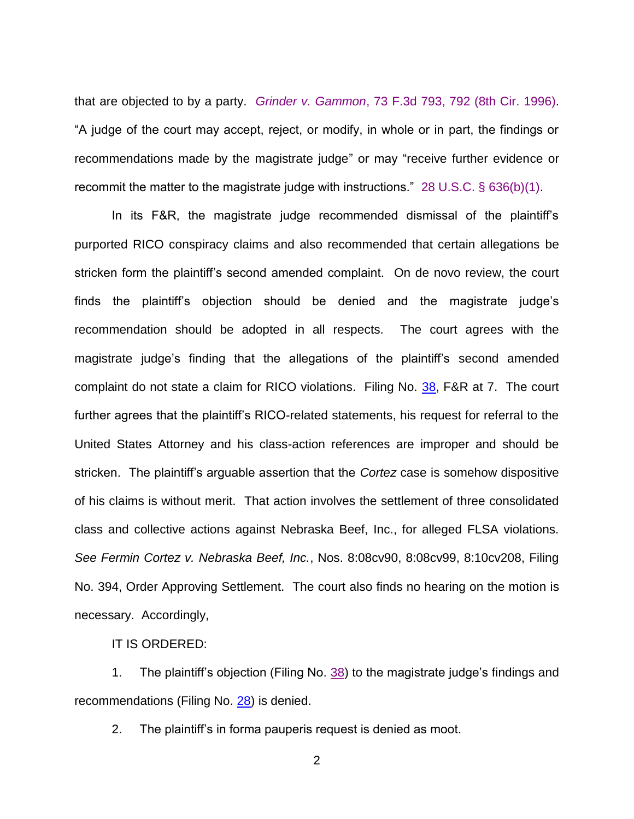that are objected to by a party. *Grinder v. Gammon*[, 73 F.3d 793, 792 \(8th Cir.](http://westlaw.com/find/default.wl?ft=Y&referencepositiontype=S&rs=btil2.0&rp=%2ffind%2fdefault.wl&serialnum=1996027243&fn=_top&referenceposition=792&findtype=Y&vr=2.0&db=0000506&wbtoolsId=1996027243&HistoryType=F) 1996). "A judge of the court may accept, reject, or modify, in whole or in part, the findings or recommendations made by the magistrate judge" or may "receive further evidence or recommit the matter to the magistrate judge with instructions." [28 U.S.C. § 636\(b\)\(1\).](http://westlaw.com/find/default.wl?ft=L&docname=28USCAS636&rs=btil2.0&rp=%2ffind%2fdefault.wl&fn=_top&findtype=L&vr=2.0&db=1000546&wbtoolsId=28USCAS636&HistoryType=F)

In its F&R, the magistrate judge recommended dismissal of the plaintiff's purported RICO conspiracy claims and also recommended that certain allegations be stricken form the plaintiff's second amended complaint. On de novo review, the court finds the plaintiff's objection should be denied and the magistrate judge's recommendation should be adopted in all respects. The court agrees with the magistrate judge's finding that the allegations of the plaintiff's second amended complaint do not state a claim for RICO violations. Filing No. [38,](https://ecf.ned.uscourts.gov/doc1/11312848165) F&R at 7. The court further agrees that the plaintiff's RICO-related statements, his request for referral to the United States Attorney and his class-action references are improper and should be stricken. The plaintiff's arguable assertion that the *Cortez* case is somehow dispositive of his claims is without merit. That action involves the settlement of three consolidated class and collective actions against Nebraska Beef, Inc., for alleged FLSA violations. *See Fermin Cortez v. Nebraska Beef, Inc.*, Nos. 8:08cv90, 8:08cv99, 8:10cv208, Filing No. 394, Order Approving Settlement. The court also finds no hearing on the motion is necessary. Accordingly,

IT IS ORDERED:

1. The plaintiff's objection (Filing No. [38\)](https://ecf.ned.uscourts.gov/doc1/11312848165) to the magistrate judge's findings and recommendations (Filing No. [28\)](https://ecf.ned.uscourts.gov/doc1/11312835921) is denied.

2. The plaintiff's in forma pauperis request is denied as moot.

2